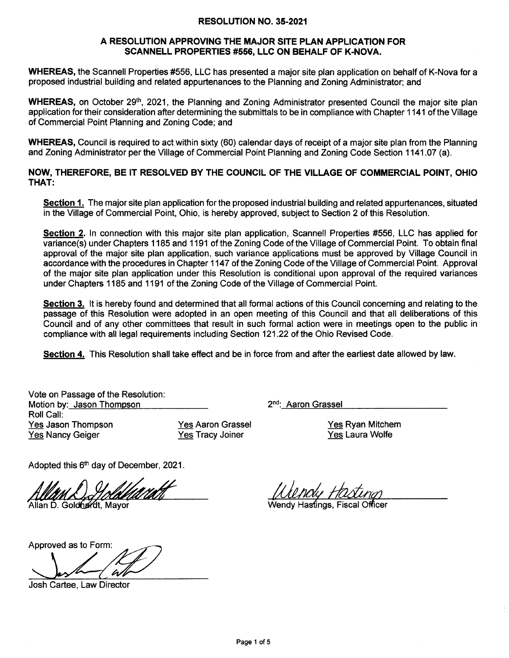## RESOLUTION NO. 35-2021

## A RESOLUTION APPROVING THE MAJOR SITE PLAN APPLICATION FOR SCANNELL PROPERTIES #556, LLC ON BEHALF OF K.NOVA.

WHEREAS, the Scannell Properties #556, LLC has presented a major site plan application on behalf of K-Nova for a proposed industrial building and related appurtenances to the Planning and Zoning Administrator; and

WHEREAS, on October 29<sup>th</sup>, 2021, the Planning and Zoning Administrator presented Council the major site plan application for their consideration after determining the submittals to be in compliance with Chapter 1141 of the Village of Commercial Point Planning and Zoning Code; and

WHEREAS, Council is required to act within sixty (60) calendar days of receipt of a major site plan from the Planning and Zoning Administrator per the Village of Commercial Point Planning and Zoning Code Section 1141.07 (a).

NOW, THEREFORE, BE IT RESOLVED BY THE COUNCIL OF THE VILLAGE OF COMMERCIAL POINT, OHIO THAT:

Section 1. The major site plan application for the proposed industrial building and related appurtenances, situated in the Village of Commercial Point, Ohio, is hereby approved, subject to Section 2 of this Resolution.

Section 2. In connection with this major site plan application, Scannell Properties #556, LLC has applied for variance(s) under Chapters 1185 and 1191 of the Zoning Code of the Village of Commercial Point. To obtain final approval of the major site plan application, such variance applications must be approved by Village Council in accordance with the procedures in Chapter 1147 of the Zoning Code of the Village of Commercial Point. Approval of the major site plan application under this Resolution is conditional upon approval of the required variances under Chapters 1 185 and 1 191 of the Zoning Code of the Village of Commercial Point.

Section 3. It is hereby found and determined that all formal actions of this Council concerning and relating to the passage of this Resolution were adopted in an open meeting of this Council and that all deliberations of this Council and of any other committees that result in such formal action were in meetings open to the public in compliance with atl legal requirements including Section 121 .22 of the Ohio Revised Code.

Section 4. This Resolution shall take effect and be in force from and after the earliest date allowed by law.

Vote on Passage of the Resolution: Motion by: Jason Thompson 2nd: Aaron Grassel Roll Call: Yes Jason Thompson Yes Nancy Geiger

Yes Aaron Grassel Yes Tracy Joiner

Yes Ryan Mitchem

Yes Laura Wolfe

Adopted this 6<sup>th</sup> day of December, 2021.

Approved as to Form:

Josh Cartee, Law Director

lan D, Goldhardt, Mayor **Wendy Hastings, Fiscal Officer** Wendy Hastings, Fiscal Officer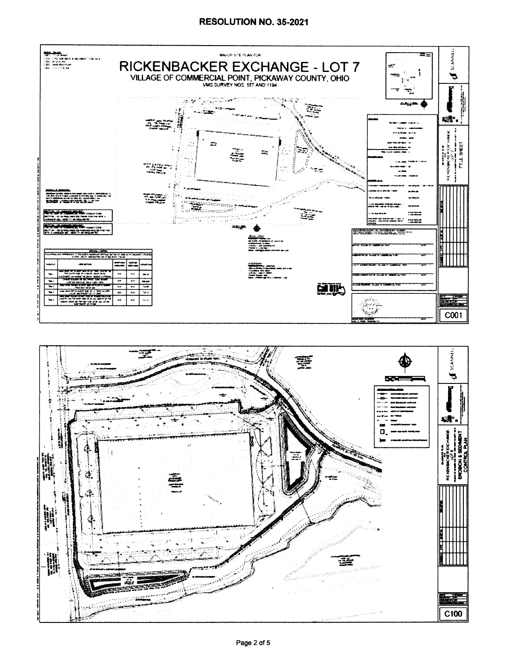

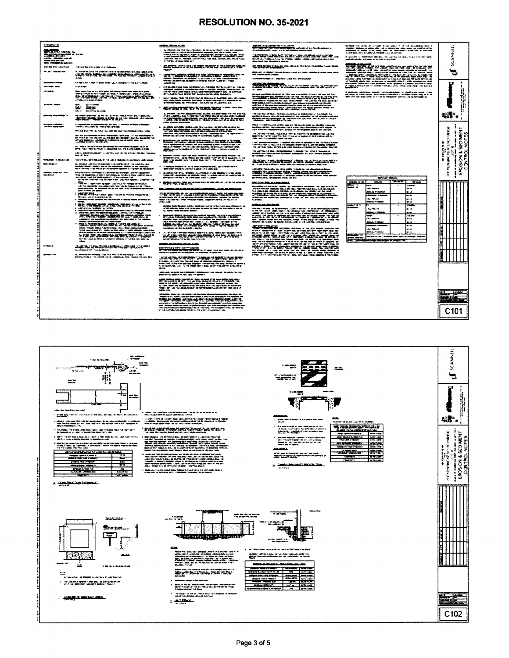## RESOLUTION NO. 35-2021

|   | <b>STEWATER</b>                                                 |                                                                                                                                                                                                                                                                        | <b>STARTED AND THE ROOM</b>                                                                                                                                                                                                                                                                                                                                                                                                                                                                                           |
|---|-----------------------------------------------------------------|------------------------------------------------------------------------------------------------------------------------------------------------------------------------------------------------------------------------------------------------------------------------|-----------------------------------------------------------------------------------------------------------------------------------------------------------------------------------------------------------------------------------------------------------------------------------------------------------------------------------------------------------------------------------------------------------------------------------------------------------------------------------------------------------------------|
|   | 流域<br>alam son s<br>Singapur<br>Magalan                         |                                                                                                                                                                                                                                                                        | des Antiquestes com chiefs frances (Marchine) - de com un car chiefs i comme apresas<br>- chiefs reque and administrative development annum abortive - de servicients deve<br>to all languages and real and service<br>-affect than their fact, allowing their side and collect and many are added from their side.<br>At the first of details reside that                                                                                                                                                            |
|   | <b>Service and Luminois and</b>                                 | We want the win company of an incre                                                                                                                                                                                                                                    | ERSEITAPILSEUROPETE VALSTÄN                                                                                                                                                                                                                                                                                                                                                                                                                                                                                           |
|   | an is delegated them.                                           | a, brigada, quia fue apartidas, diante r<br>us that a art more radius<br>مسرم                                                                                                                                                                                          | <b>CONSTRUCTION CONTROL</b><br>Phoneton, Theodorescent and Ministers. The construction of the Constitution of the Constitution of the Constitution of the Constitution of the Constitution of the Constitution of the Constitution of the Constitution of the                                                                                                                                                                                                                                                         |
|   | <b><i><u>Alexandra v Arcan</u></i></b><br>فهجه سلهجتهم          | STATE ALREA (UNSER THE SEARCH AND CLASSES IN 1998-BANK), MUSE                                                                                                                                                                                                          |                                                                                                                                                                                                                                                                                                                                                                                                                                                                                                                       |
|   | ina amin'ny                                                     |                                                                                                                                                                                                                                                                        | anni de chaip transportant. Al algundat com c'hallangan alactas capital eus (* 1991)<br>Amalanda Gregoria, es an antipo alactas (* 1992)<br>Aris de Chicherald Haalin, al Victorial de Henrich (famou eus ), al American<br>Audition from African Wall automobile the cards in autom<br>ma realism<br><b>Bald Holde</b>                                                                                                                                                                                               |
|   | uari anno                                                       | المتار المراجع فتنقذ والمراجع والمتاريخ                                                                                                                                                                                                                                | in de vertucationer en<br>adan milay misili kaliyang Kabihalas at pagal milayagi at ito adalah ito an<br>midahalas ayan, ay "harawayay" ing ayan ay at aggripun yaw                                                                                                                                                                                                                                                                                                                                                   |
|   |                                                                 | ₩₽<br>×                                                                                                                                                                                                                                                                | $\begin{minipage}{.4\linewidth} \begin{tabular}{l} \multicolumn{2}{c}{\textbf{1.66}} \end{tabular} \end{minipage} \begin{minipage}{.4\linewidth} \begin{tabular}{l} \multicolumn{2}{c}{\textbf{2.66}} \end{tabular} \end{minipage} \begin{minipage}{.4\linewidth} \begin{tabular}{l} \multicolumn{2}{c}{\textbf{2.66}} \end{tabular} \end{minipage} \end{minipage} \begin{minipage}{.4\linewidth} \begin{tabular}{l} \multicolumn{2}{c}{\textbf{2.66}} \end{tabular} \end{minipage} \begin{minipage}{.4$              |
|   | والمتفقف مجادوه                                                 | éna. M. Roma de la comp<br><b>BA MAKE B</b><br><b>ACCOMMENDED AND ALL AREA</b>                                                                                                                                                                                         | $\begin{array}{l} \mathcal{N}_1 \oplus \mathcal{N}_2 \oplus \mathcal{N}_3 \oplus \mathcal{N}_4 \oplus \mathcal{N}_5 \oplus \mathcal{N}_6 \oplus \mathcal{N}_7 \oplus \mathcal{N}_8 \oplus \mathcal{N}_7 \oplus \mathcal{N}_8 \oplus \mathcal{N}_9 \oplus \mathcal{N}_9 \oplus \mathcal{N}_9 \oplus \mathcal{N}_9 \oplus \mathcal{N}_9 \oplus \mathcal{N}_9 \oplus \mathcal{N}_9 \oplus \mathcal{N}_9 \oplus \mathcal{N}_9 \oplus \mathcal{N}_9 \oplus \mathcal{N}_9 \oplus \mathcal$<br><b>CONTRACTOR AND INCOME.</b> |
|   | د <mark>مانون و جری</mark> ف<br>با کاملانا است <sup>اد</sup> ام | 4. Andersen for the second district, and address to the second distribution is asked.<br>Andership, second district, "The State and State and<br>Phineira any 1799-taly now situs, rates law assistance designer solation plan                                         | <u> UTAWA MANAZINI W</u>                                                                                                                                                                                                                                                                                                                                                                                                                                                                                              |
|   |                                                                 | 1977 - 2017 - 2018 - 2019 - 2019 - 2019 - 2019 - 2019 - 2019 - 2019 - 2019 - 2021 - 2021 - 2021 - 2021 - 2021<br>2021 - 2021 - 2021 - 2021 - 2021 - 2021 - 2021 - 2021 - 2021 - 2022 - 2022 - 2022 - 2022 - 2022 - 2022 - 2022<br>20                                   | video división conteneran en el material de la contenentación de la componentación<br>Antiga de la contenentación de la contenentación de la contenentación de las contenentacións<br>1127 - 271 171 172 173                                                                                                                                                                                                                                                                                                          |
| ž |                                                                 | . (1986) i 19 distriktor skilder og den større og større i den større og større og som.<br>1961-1961 i 1960 de 1960 i 1. sammenhag den i 1960-tener av større og sig.<br>and the primary and consider the state was a state of the state and the state of the state of | vien de l'appare aux l'appareixen des la Charles et années aux la comparation de la charles de la charles.<br>Mais de la charles de la charles de la charles de la charles de la comparation de la charles de la charles de<br>Appli<br><b>SAMPLE MANUFACTURERS</b>                                                                                                                                                                                                                                                   |
|   | <b>Pama</b> touched                                             | <b>Sim Advised</b><br>THE NOT WAY THE STREETED BY THE VIEW OF THESE ARE AN INVESTIGATION OF                                                                                                                                                                            | desaltat soletest muut välja avas, as sai muut solet assamas kommenta valjast.<br>Hengal hengelse, sai as Hengal per esit soleta valjast kai persantas valjast.<br>Hengal per esitest (sella muuta) per esit valjast solet hengal pe                                                                                                                                                                                                                                                                                  |
| İ | <b>SHELLMAN</b>                                                 | des primatinais contributions particulaire qui le construction de la completation de la completation (contribu<br>de criminal (company), contribution de la completation de completation (completation) avec la composition<br>regis                                   | ric matematica de destacantes e aproven a constante a companya de la companya de la companya de la companya de<br>Altres companya de la companya de la companya de la companya de la companya de la companya de la companya de<br>o 10 institution in                                                                                                                                                                                                                                                                 |
|   | <b>BANA, MANESA AND</b><br>                                     | entalmentelle chiefinistis, sur differite substitutioner control apparation<br>1968 – In Anglicense di Anglie politicianus, se fortigue di Anglicensi del Monte<br>1976 – In Carlo Standard Service del Monte di Anglicensi della Co                                   | alissisting olivade air aus air féighteoir airseoiríonnta ar séis ann an airpeáltaí, nó fearbha, saochair<br>Aoghain 1987 - Agusta Ainmail air an Ainmeirichteoir Ainmeiriche agus an airpeálta agus airpeálta a gcoláir a<br>Ainmei                                                                                                                                                                                                                                                                                  |
|   |                                                                 | status<br>1980 – The Community of Statistics and Market for Models<br>1980 – The Markets, and the Community of the Statistics and Markets<br>1980 – The Community of the Community of the Community of the Community of the Community<br>1                             | <b>RESEARCH AND RESONANCE IN MODERN PROPERTY</b><br>والترض ومواردها فالأنافى والانتقاص والروابة والمراكب والمراقع والأجاد والمراقية                                                                                                                                                                                                                                                                                                                                                                                   |
|   |                                                                 | <b>CONTRACTOR</b><br>man a componente estadounidade en el composito estado de el componente de la componente de la componente de la<br>Entre estados de la componente de la componente de la componente de la componente de la componente de la compo                  | *******************************<br>al melkingung, 200 (d. das 201 km) Philosophie House<br>Andel I (d.) Japanese Langel Tresseaux Independent.<br>16 MB<br>E Hundes<br>ang California<br><b>Big Lines</b><br><b>CONTINUES OF THE ACT OF</b><br><b>Printed States</b>                                                                                                                                                                                                                                                  |
|   |                                                                 |                                                                                                                                                                                                                                                                        | alanalista, taman dikemajaan kesällä ("Alandan anno 2002) on käytettyissä sainoja valtalainen jo<br>1971 – Alandan valtalainen kaukkaisen ja sainen ja palainen ja sajalla taloutuksen ja palainen ja palainen ja<br>1971 – Alandan                                                                                                                                                                                                                                                                                   |
|   |                                                                 | <i><b>RUSTER MERSON ER IN</b></i><br>enteriori qui agus est continuo nell'estatori d<br>dei controvante del estatori in rivetto monet<br><u>teltetova stavisloval (Linux – 1990)</u>                                                                                   | 2720224424224242544427256<br>and and the state of the following control to the probability of the state and an end of the state of the state of the state of the state of the state of the state of the state of the state of the state of the state of the<br><b>CONTINUES CONTINUE</b>                                                                                                                                                                                                                              |
|   |                                                                 | antaŭ de la provincia de la provincia de la provincia estas la provincia del la provincia de la provincia de l<br>Provincia de la provincia de la provincia de la provincia de la provincia de la provincia de la provincia de<br>La<br><u> FRANKSARSMINIST</u>        | tactus in chief fund index received interact fundament<br><u>star en su ment l'illega</u>                                                                                                                                                                                                                                                                                                                                                                                                                             |
|   |                                                                 |                                                                                                                                                                                                                                                                        | ini a san san ing pagpaga ang pag                                                                                                                                                                                                                                                                                                                                                                                                                                                                                     |
|   | <b>SERVICES</b>                                                 | <b>State of the Second Lands of the Second Second Second Second Second Second Second Second Second Second Second </b><br>Response to the Second Second Second Second Second Second Second Second Second Second Second Second Second Se                                 | مدمس بيم بنيم الأ                                                                                                                                                                                                                                                                                                                                                                                                                                                                                                     |
|   | <b>SAVING COR</b>                                               | ay, Bhuilleán ann ainmigh (1998) fha fhaoin ainm an ann an an 2011.<br>Bhailtear forlach i tha cheantar an air cuimhean. Thas cheann ann ann an 1991                                                                                                                   |                                                                                                                                                                                                                                                                                                                                                                                                                                                                                                                       |
|   |                                                                 |                                                                                                                                                                                                                                                                        | - Villaformalist alle finished and international and information of the state and . In their collection of the<br>State and only applicable on and only our groups of                                                                                                                                                                                                                                                                                                                                                 |
|   |                                                                 |                                                                                                                                                                                                                                                                        | Senare Chancer (1974)                                                                                                                                                                                                                                                                                                                                                                                                                                                                                                 |
|   |                                                                 |                                                                                                                                                                                                                                                                        | ter et internationale fort                                                                                                                                                                                                                                                                                                                                                                                                                                                                                            |
|   |                                                                 |                                                                                                                                                                                                                                                                        |                                                                                                                                                                                                                                                                                                                                                                                                                                                                                                                       |

| <b>START</b>                                                                                                                                                                                                                                                                                                                                                                                                                                                                                   |                                                                                                                                                                                                                                                                               |
|------------------------------------------------------------------------------------------------------------------------------------------------------------------------------------------------------------------------------------------------------------------------------------------------------------------------------------------------------------------------------------------------------------------------------------------------------------------------------------------------|-------------------------------------------------------------------------------------------------------------------------------------------------------------------------------------------------------------------------------------------------------------------------------|
|                                                                                                                                                                                                                                                                                                                                                                                                                                                                                                | <b>Bibliotti on Gassier Principal ancient could be</b><br>ar company came.                                                                                                                                                                                                    |
| $\begin{minipage}{.4\linewidth} \begin{tabular}{l} \hline \multicolumn{1}{l}{} & \multicolumn{1}{l}{} \\ \multicolumn{1}{l}{} & \multicolumn{1}{l}{} \\ \multicolumn{1}{l}{} & \multicolumn{1}{l}{} \\ \multicolumn{1}{l}{} & \multicolumn{1}{l}{} \\ \multicolumn{1}{l}{} & \multicolumn{1}{l}{} \\ \multicolumn{1}{l}{} & \multicolumn{1}{l}{} \\ \multicolumn{1}{l}{} & \multicolumn{1}{l}{} \\ \multicolumn{1}{l}{} & \multicolumn{1}{l}{} \\ \multicolumn{1}{l}{} & \multicolumn{1}{l}{}$ | whethering ship cities appelled to be a part of the                                                                                                                                                                                                                           |
| محادثات<br>ande estados de la paíse de la registración de la freguesia de la capacidad de la freguesia de la freguesia<br>Secología de la freguesia de la freguesia de la freguesia de la freguesia de la freguesia de la freguesia de<br>Secol                                                                                                                                                                                                                                                | <b>AND PRODUCTS</b><br>si ma                                                                                                                                                                                                                                                  |
| 40" In the Street, found Allenta (PA) - Accords available to column in accords<br>maker registably them from and direction approximation the controller index. He is admits<br>oden välig meda franske i dat make, at som ringalen i Armalde bli er.<br>Gridniske gebol av Trevelinger, fra som var af væstene olik.                                                                                                                                                                           | di ne anestala modosi di Vertala e a<br>Maria Twa 14<br><b>IT STAIN THORSE AT AN JOIN STANDARD</b>                                                                                                                                                                            |
| det an eller and the following the same company of the same state of the same of the same of                                                                                                                                                                                                                                                                                                                                                                                                   | 1990 - Carlis & M. G. Hernichtsche Strukturger (* 1951)<br>2001 - Paul III, der als eine Strukturger (* 1920)                                                                                                                                                                 |
| itus differentiam vallatiivide liidandeliittiin olevasi, kad alasta nasio apaljoitapilliik verin teen askentinia<br>24 Abril vallaalintaa, tapan, vritagaserillaa, tapan, alakuna valgastab vallatiivid, alakunta askenaali<br><u>terning on partie follows:</u>                                                                                                                                                                                                                               | THE CHECK CONTINUES IN THE RESIDENCE OF A<br><b>Britain Grants Mouth &amp; Abademy or one</b>                                                                                                                                                                                 |
| ALL SERVES JOINT AND HER AND HER HALL THE ROLL OF THE CORE HERE AND HE<br><b>TAILTE ATAILTE AND --</b><br>voltas ikon, kala utsidar bisak andrajar aporata ir uspaninam daugu ilg utgavuslaja.<br>Alfanis ilga gavuslab na mauriteks ir uversinama kusina ap                                                                                                                                                                                                                                   | Make is codering one producing a name<br>garighter, Jak-Hur, Not-Leath Avet, 49 in mundi.<br>Jakit Public sols, and Marigan and applied by The<br>ing Jawijani katikan di kacamatan di Kabupatén Ka                                                                           |
|                                                                                                                                                                                                                                                                                                                                                                                                                                                                                                | <b>BERTH AND THE HISP COMMERCIAL PRODUCTS COMPANY</b><br>Health and House and address the same of the same                                                                                                                                                                    |
| 112712223127212123214321<br>.<br>Letrah apada kan tip papar 1946 di katalung katika kan Kaka ka An .<br>Mika di diaman ing katalog kan kan akan kan ka<br><u>status de contra asteriorma de la mateixa e dels e</u> de l'antico asta a                                                                                                                                                                                                                                                         | Y ART Grands reliability to despect matters<br>which is the in the sixt of an annual and<br>He was here as the annual who much                                                                                                                                                |
| ki szerinyis maza kirán kezés, az délkinszás neb gélekhedet nebenes kirá<br>.<br>the property of the second company and the distance of the second company of the second company of the second second company of the second company of the second company of the second company of the second company of the se                                                                                                                                                                                | The Life (the Link Bind), de Alexandriale d'11,450<br>Alexandria (e.e.) agloritate més étit Algebris d'Alexandr<br><b>WILLIAMS IN THE Y</b>                                                                                                                                   |
|                                                                                                                                                                                                                                                                                                                                                                                                                                                                                                | 323. D. 172 (1                                                                                                                                                                                                                                                                |
| The relationship deviations are the relationship of the relationship of the constitution of the<br><b>CONTRACT CONSUM UNITED SUBSIDIATION OF A SERVICE.</b>                                                                                                                                                                                                                                                                                                                                    | comment of the parameter, near the complete the regard                                                                                                                                                                                                                        |
| in – planetting different alle ave del letter in the context and a collected approach to a context. Letters a<br>- Andreas and in capacity from a final collection of the context collected and collected and and collected an<br>-                                                                                                                                                                                                                                                            | MAIN WATER TANTER                                                                                                                                                                                                                                                             |
| 2000 and the second company of the company of the company of the second company of the company of the company of                                                                                                                                                                                                                                                                                                                                                                               | <b>Biddi Andrew Billion, and a magnitude of a</b>                                                                                                                                                                                                                             |
| المتحدد والمستقل المتناقص المتناقص والمستقل المتعارفات والمتحدث المتحدثات                                                                                                                                                                                                                                                                                                                                                                                                                      | Production in the second control of the second control of the second control of the second control of the second control of the second control of the second control of the second control of the second control of the second<br>Not dealer a dec. 2004 dec. 1001205-02-0-02 |
| *******************************<br>re reference and of the process through the experience construction of the process.<br>See of the common control the company of the common common control of the color<br><b>William State</b>                                                                                                                                                                                                                                                              | <u>wasa na na amin</u><br>of the last the military dir. Installo in Light<br><b>Nigeriana</b>                                                                                                                                                                                 |
| abandha, danta dhangan shaifin. "Balda anal aa hay a ribal larin sina ribalisanda" air.<br>Af "Afi malifing, datal la'ad lai miladigi an airiga lafi man lagu "Algandha ai" lagu<br>A. BARB, VARA HOLD BARB BARBAR                                                                                                                                                                                                                                                                             | Automatical Archives and<br>validas informaciones de relativamente de Antonio en<br>A CAPTAIN WILLIAM PRODUCTS AND COMMUNIST                                                                                                                                                  |
| KRIMAN SARAH MA<br><b>CONTRACTORY</b>                                                                                                                                                                                                                                                                                                                                                                                                                                                          | ニロス アオミス アススエンプ                                                                                                                                                                                                                                                               |
| <b>Brighton City, the Southeast 1 Martin</b>                                                                                                                                                                                                                                                                                                                                                                                                                                                   | <b>START I MODERN</b><br>START START IN 1971 HANDLE PARK<br>autory could him at come or devoted as                                                                                                                                                                            |
| tack of the first state state of the will be aware attitudes. She<br>imi rau<br>MALE ARE SANDARY SAND -<br><b>No. 100 Person of Further ME. Frank In recovery</b>                                                                                                                                                                                                                                                                                                                              | EXECTIVE<br>e and in<br>and restation top arts shows also helped                                                                                                                                                                                                              |
| manister, and stations concerns and the                                                                                                                                                                                                                                                                                                                                                                                                                                                        | dividir. Alle fine administrative au monte an director de<br>Alle sol administrative administrative administrative                                                                                                                                                            |
| ander Strangers, en de la ville de la ville de la ville de la ville de la ville de la ville de la ville de la<br>En 1990, en la ville de la ville de la ville de la ville de la ville de la ville de la ville de la ville de la<br>SERVICE PORT SERVICE MANAGER PORT SERVICE CO., 42 SIGNS 1999 AND A CONFIDENTIAL ORDER AND ARRANGEMENT.<br>The control of the control of the control of the control of the control of the control of the control of the c                                    | <u> Serikaa</u>                                                                                                                                                                                                                                                               |
| 1990 - Paul Barbara, matsayar ang katalog at ang pagpalang at ang pagpalang at ang pagpalang at ang pagpalang<br>Panggalang at ang pagpalang at ang panggalang at ang pagpagang at ang pagpagang at ang pagpagang at ang pagpa<br>Pa                                                                                                                                                                                                                                                           |                                                                                                                                                                                                                                                                               |
|                                                                                                                                                                                                                                                                                                                                                                                                                                                                                                |                                                                                                                                                                                                                                                                               |

<u>stati pomenici, era</u><br>Sistema de la provincia de la manera 

.<br>An inter commission and many from i.  $\sim$ 

nstaturar

.<br>Kabupatèn Salimah Managarang Kabupatèn<br>Kabupatèn Managarang Kabupatèn

cialmente, qui nivelle regionale.<br>Microsoft de l'artificiale de l'artificiale.<br>Artificiale de la fin concerta. .<br>In their field and designed from completion.<br>In the field of the same of the same complete from the

t de aplicación de la colonna activa<br>proba activada algora madalada<br>proba activada algora algora<br>pilo activada algora de la proba

n na bisababan.<br>Alaman muta

HINERIE 

- ---------en. **MEN** Ξ



**Kanada** al navada koja "valgost denga strugorija". Voji introgija polanjim voji planali od nag usedan i provaje.<br>Ali je objavljeno se se kolonizativne, ali povranje obraz valite se je obraz koje na koja u navaj upravi zakl<br>Ali fra

कमा

Ť

سب

t.

aran<br>Kabupat<br>Mina

**External** 

 $\overline{\cdot}$ 

Anticipa ar designer<br>Provincia a relativ

rinkan<br>idi man .<br>مسیح

وبريع

**START BERGEVENTE** 



**SCANNEL** 

A.

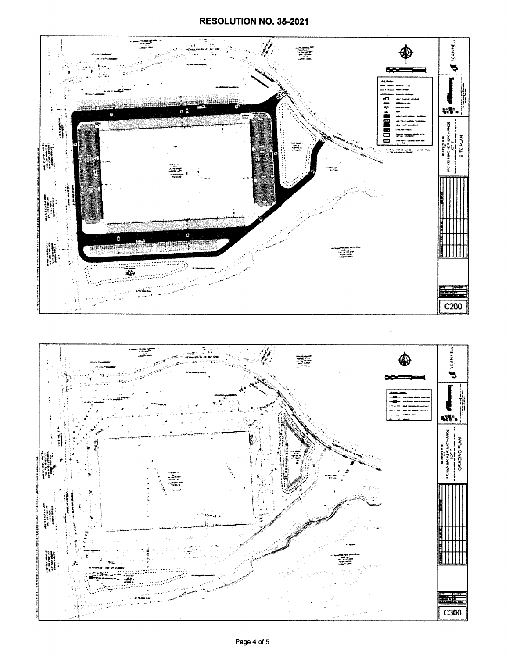## RESOLUTION NO. 35-2021